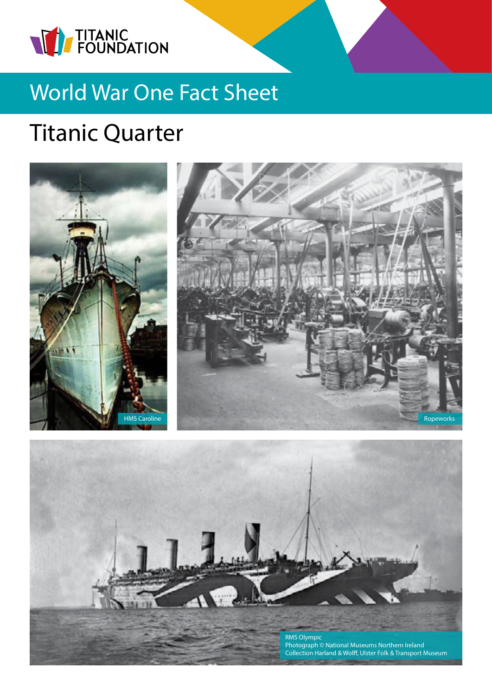

## World War One Fact Sheet

# Titanic Quarter



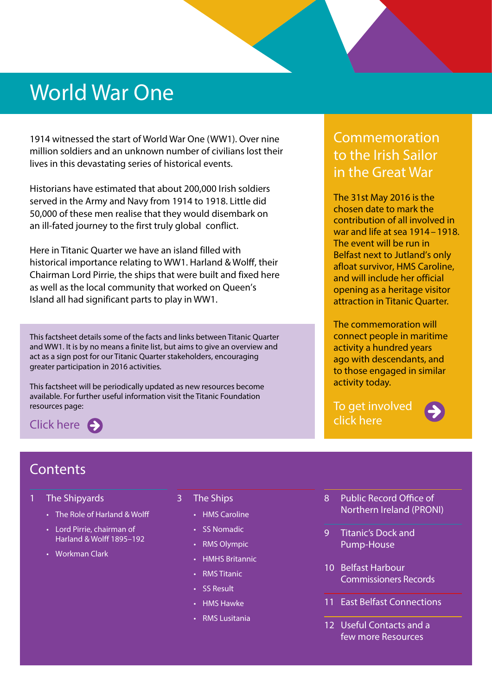## World War One

1914 witnessed the start of World War One (WW1). Over nine million soldiers and an unknown number of civilians lost their lives in this devastating series of historical events.

Historians have estimated that about 200,000 Irish soldiers served in the Army and Navy from 1914 to 1918. Little did 50,000 of these men realise that they would disembark on an ill-fated journey to the first truly global conflict.

Here in Titanic Quarter we have an island filled with historical importance relating to WW1. Harland & Wolff, their Chairman Lord Pirrie, the ships that were built and fixed here as well as the local community that worked on Queen's Island all had significant parts to play in WW1.

This factsheet details some of the facts and links between Titanic Quarter and WW1. It is by no means a finite list, but aims to give an overview and act as a sign post for our Titanic Quarter stakeholders, encouraging greater participation in 2016 activities.

This factsheet will be periodically updated as new resources become available. For further useful information visit the Titanic Foundation resources page:

Clickhere  $\bigodot$ 

### Commemoration to the Irish Sailor in the Great War

The 31st May 2016 is the chosen date to mark the contribution of all involved in war and life at sea 1914 – 1918. The event will be run in Belfast next to Jutland's only afloat survivor, HMS Caroline, and will include her official opening as a heritage visitor attraction in Titanic Quarter.

The commemoration will connect people in maritime activity a hundred years ago with descendants, and to those engaged in similar activity today.

[To get involved](http://historyhubulster.co.uk/irishsailor/)  click here



### **Contents**

- 1 The Shipyards
	- The Role of Harland & Wolff
	- Lord Pirrie, chairman of Harland & Wolff 1895–192
	- Workman Clark
- 3 The Ships
	- HMS Caroline
	- SS Nomadic
	- RMS Olympic
	- HMHS Britannic
	- RMS Titanic
	- SS Result
	- HMS Hawke
	- RMS Lusitania
- 8 Public Record Office of Northern Ireland (PRONI)
- 9 Titanic's Dock and Pump-House
- 10 Belfast Harbour Commissioners Records
- 11 East Belfast Connections
- 12 Useful Contacts and a few more Resources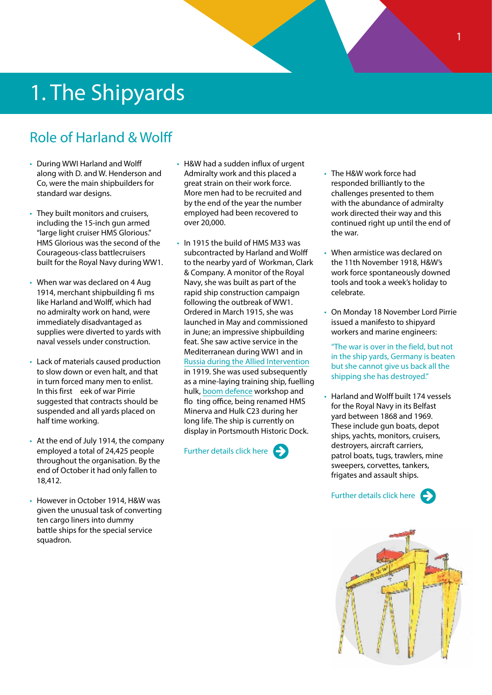## 1. The Shipyards

### Role of Harland & Wolff

- During WWI Harland and Wolff along with D. and W. Henderson and Co, were the main shipbuilders for standard war designs.
- They built monitors and cruisers, including the 15-inch gun armed "large light cruiser HMS Glorious." HMS Glorious was the second of the Courageous-class battlecruisers built for the Royal Navy during WW1.
- When war was declared on 4 Aug 1914, merchant shipbuilding fi ms like Harland and Wolff, which had no admiralty work on hand, were immediately disadvantaged as supplies were diverted to yards with naval vessels under construction.
- Lack of materials caused production to slow down or even halt, and that in turn forced many men to enlist. In this first eek of war Pirrie suggested that contracts should be suspended and all yards placed on half time working.
- At the end of July 1914, the company employed a total of 24,425 people throughout the organisation. By the end of October it had only fallen to 18,412.
- However in October 1914, H&W was given the unusual task of converting ten cargo liners into dummy battle ships for the special service squadron.
- H&W had a sudden influx of urgent Admiralty work and this placed a great strain on their work force. More men had to be recruited and by the end of the year the number employed had been recovered to over 20,000.
- In 1915 the build of HMS M33 was subcontracted by Harland and Wolff to the nearby yard of Workman, Clark & Company. A monitor of the Royal Navy, she was built as part of the rapid ship construction campaign following the outbreak of WW1. Ordered in March 1915, she was launched in May and commissioned in June; an impressive shipbuilding feat. She saw active service in the Mediterranean during WW1 and in [Russia during the Allied Intervention](https://en.wikipedia.org/wiki/Allied_intervention_in_the_Russian_Civil_War) in 1919. She was used subsequently as a mine-laying training ship, fuelling hulk, [boom defence](https://en.wikipedia.org/wiki/Net_laying_ship) workshop and flo ting office, being renamed HMS Minerva and Hulk C23 during her long life. The ship is currently on display in Portsmouth Historic Dock.

[Further details click here](http://historyhubulster.co.uk/rn-ships-built-harland-wolff/)  $\leftarrow$ 

- The H&W work force had responded brilliantly to the challenges presented to them with the abundance of admiralty work directed their way and this continued right up until the end of the war.
- When armistice was declared on the 11th November 1918, H&W's work force spontaneously downed tools and took a week's holiday to celebrate.
- On Monday 18 November Lord Pirrie issued a manifesto to shipyard workers and marine engineers:

"The war is over in the field, but not in the ship yards, Germany is beaten but she cannot give us back all the shipping she has destroyed."

• Harland and Wolff built 174 vessels for the Royal Navy in its Belfast yard between 1868 and 1969. These include gun boats, depot ships, yachts, monitors, cruisers, destroyers, aircraft carriers, patrol boats, tugs, trawlers, mine sweepers, corvettes, tankers, frigates and assault ships.

[Further details click here](http://historyhubulster.co.uk/rn-ships-built-harland-wolff/)  $\epsilon$ 

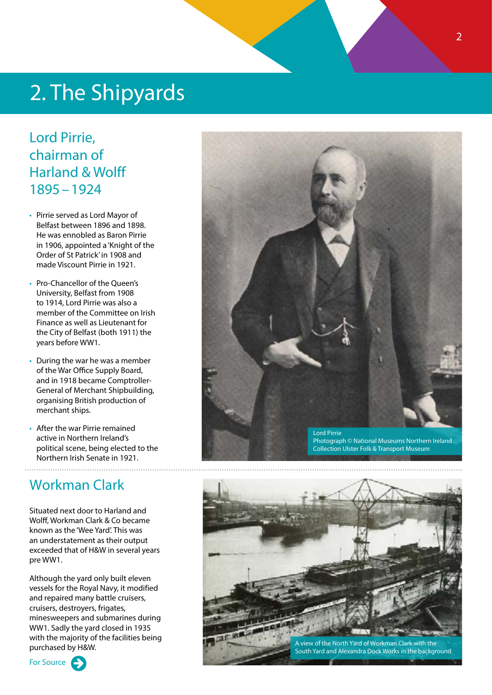## 2. The Shipyards

### Lord Pirrie, chairman of Harland & Wolff 1895–1924

- Pirrie served as Lord Mayor of Belfast between 1896 and 1898. He was ennobled as Baron Pirrie in 1906, appointed a 'Knight of the Order of St Patrick' in 1908 and made Viscount Pirrie in 1921.
- Pro-Chancellor of the Queen's University, Belfast from 1908 to 1914, Lord Pirrie was also a member of the Committee on Irish Finance as well as Lieutenant for the City of Belfast (both 1911) the years before WW1.
- During the war he was a member of the War Office Supply Board, and in 1918 became Comptroller-General of Merchant Shipbuilding, organising British production of merchant ships.
- After the war Pirrie remained active in Northern Ireland's political scene, being elected to the Northern Irish Senate in 1921.

### Workman Clark

Situated next door to Harland and Wolff, Workman Clark & Co became known as the 'Wee Yard'. This was an understatement as their output exceeded that of H&W in several years pre WW1.

Although the yard only built eleven vessels for the Royal Navy, it modified and repaired many battle cruisers, cruisers, destroyers, frigates, minesweepers and submarines during WW1. Sadly the yard closed in 1935 with the majority of the facilities being purchased by H&W.







South Yard and Alexandra Dock Works in the background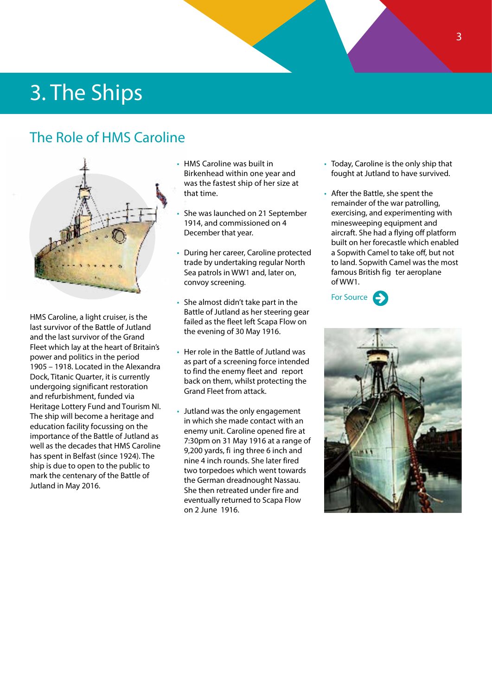## 3. The Ships

### The Role of HMS Caroline



HMS Caroline, a light cruiser, is the last survivor of the Battle of Jutland and the last survivor of the Grand Fleet which lay at the heart of Britain's power and politics in the period 1905 – 1918. Located in the Alexandra Dock, Titanic Quarter, it is currently undergoing significant restoration and refurbishment, funded via Heritage Lottery Fund and Tourism NI. The ship will become a heritage and education facility focussing on the importance of the Battle of Jutland as well as the decades that HMS Caroline has spent in Belfast (since 1924). The ship is due to open to the public to mark the centenary of the Battle of Jutland in May 2016.

- HMS Caroline was built in Birkenhead within one year and was the fastest ship of her size at that time.
- She was launched on 21 September 1914, and commissioned on 4 December that year.
- During her career, Caroline protected trade by undertaking regular North Sea patrols in WW1 and, later on, convoy screening.
- She almost didn't take part in the Battle of Jutland as her steering gear failed as the fleet left Scapa Flow on the evening of 30 May 1916.
- Her role in the Battle of Jutland was as part of a screening force intended to find the enemy fleet and report back on them, whilst protecting the Grand Fleet from attack.
- Jutland was the only engagement in which she made contact with an enemy unit. Caroline opened fire at 7:30pm on 31 May 1916 at a range of 9,200 yards, fi ing three 6 inch and nine 4 inch rounds. She later fired two torpedoes which went towards the German dreadnought Nassau. She then retreated under fire and eventually returned to Scapa Flow on 2 June 1916.
- Today, Caroline is the only ship that fought at Jutland to have survived.
- After the Battle, she spent the remainder of the war patrolling, exercising, and experimenting with minesweeping equipment and aircraft. She had a flying off platform built on her forecastle which enabled a Sopwith Camel to take off, but not to land. Sopwith Camel was the most famous British fig ter aeroplane of WW1.



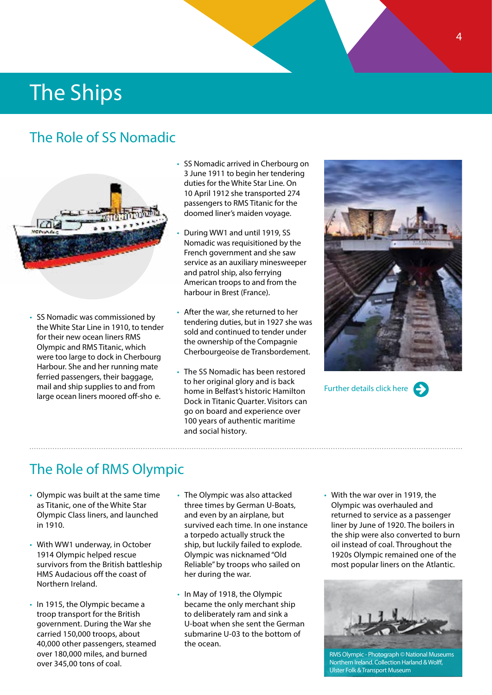### The Role of SS Nomadic



• SS Nomadic was commissioned by the White Star Line in 1910, to tender for their new ocean liners RMS Olympic and RMS Titanic, which were too large to dock in Cherbourg Harbour. She and her running mate ferried passengers, their baggage, mail and ship supplies to and from large ocean liners moored off-sho e.

- SS Nomadic arrived in Cherbourg on 3 June 1911 to begin her tendering duties for the White Star Line. On 10 April 1912 she transported 274 passengers to RMS Titanic for the doomed liner's maiden voyage.
- During WW1 and until 1919, SS Nomadic was requisitioned by the French government and she saw service as an auxiliary minesweeper and patrol ship, also ferrying American troops to and from the harbour in Brest (France).
- After the war, she returned to her tendering duties, but in 1927 she was sold and continued to tender under the ownership of the Compagnie Cherbourgeoise de Transbordement.
- The SS Nomadic has been restored to her original glory and is back home in Belfast's historic Hamilton Dock in Titanic Quarter. Visitors can go on board and experience over 100 years of authentic maritime and social history.



Further details click here



### The Role of RMS Olympic

- Olympic was built at the same time as Titanic, one of the White Star Olympic Class liners, and launched in 1910.
- With WW1 underway, in October 1914 Olympic helped rescue survivors from the British battleship HMS Audacious off the coast of Northern Ireland.
- In 1915, the Olympic became a troop transport for the British government. During the War she carried 150,000 troops, about 40,000 other passengers, steamed over 180,000 miles, and burned over 345,00 tons of coal.
- The Olympic was also attacked three times by German U-Boats, and even by an airplane, but survived each time. In one instance a torpedo actually struck the ship, but luckily failed to explode. Olympic was nicknamed "Old Reliable" by troops who sailed on her during the war.
- In May of 1918, the Olympic became the only merchant ship to deliberately ram and sink a U-boat when she sent the German submarine U-03 to the bottom of the ocean.
- With the war over in 1919, the Olympic was overhauled and returned to service as a passenger liner by June of 1920. The boilers in the ship were also converted to burn oil instead of coal. Throughout the 1920s Olympic remained one of the most popular liners on the Atlantic.



RMS Olympic - Photograph © National Museums Northern Ireland. Collection Harland & Wolff, Ulster Folk & Transport Museum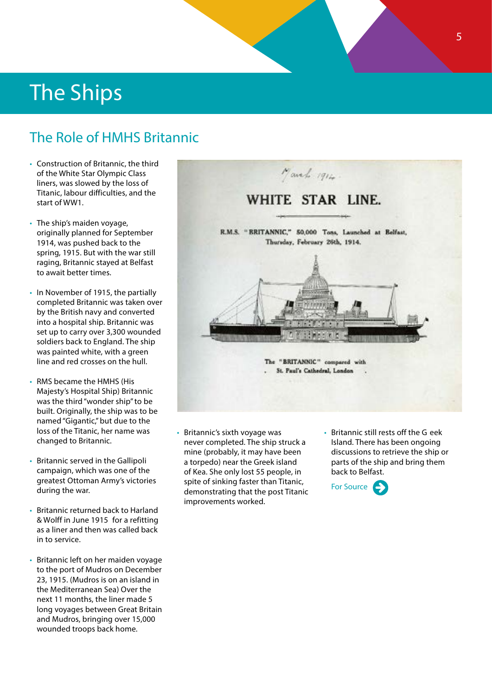### The Role of HMHS Britannic

- Construction of Britannic, the third of the White Star Olympic Class liners, was slowed by the loss of Titanic, labour difficulties, and the start of WW1.
- The ship's maiden voyage, originally planned for September 1914, was pushed back to the spring, 1915. But with the war still raging, Britannic stayed at Belfast to await better times.
- In November of 1915, the partially completed Britannic was taken over by the British navy and converted into a hospital ship. Britannic was set up to carry over 3,300 wounded soldiers back to England. The ship was painted white, with a green line and red crosses on the hull.
- RMS became the HMHS (His Majesty's Hospital Ship) Britannic was the third "wonder ship" to be built. Originally, the ship was to be named "Gigantic," but due to the loss of the Titanic, her name was changed to Britannic.
- Britannic served in the Gallipoli campaign, which was one of the greatest Ottoman Army's victories during the war.
- Britannic returned back to Harland & Wolff in June 1915 for a refitting as a liner and then was called back in to service.
- Britannic left on her maiden voyage to the port of Mudros on December 23, 1915. (Mudros is on an island in the Mediterranean Sea) Over the next 11 months, the liner made 5 long voyages between Great Britain and Mudros, bringing over 15,000 wounded troops back home.



- Britannic's sixth voyage was never completed. The ship struck a mine (probably, it may have been a torpedo) near the Greek island of Kea. She only lost 55 people, in spite of sinking faster than Titanic, demonstrating that the post Titanic improvements worked.
- Britannic still rests off the G eek Island. There has been ongoing discussions to retrieve the ship or parts of the ship and bring them back to Belfast.

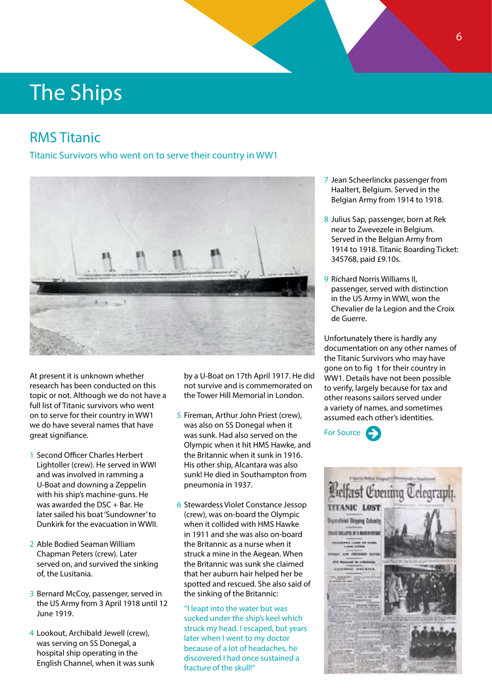### RMS Titanic

Titanic Survivors who went on to serve their country in WW1



At present it is unknown whether research has been conducted on this topic or not. Although we do not have a full list of Titanic survivors who went on to serve for their country in WW1 we do have several names that have great signifiance.

- 1 Second Officer Charles Herbert Lightoller (crew). He served in WWI and was involved in ramming a U-Boat and downing a Zeppelin with his ship's machine-guns. He was awarded the DSC + Bar. He later sailed his boat 'Sundowner' to Dunkirk for the evacuation in WWII.
- 2 Able Bodied Seaman William Chapman Peters (crew). Later served on, and survived the sinking of, the Lusitania.
- 3 Bernard McCoy, passenger, served in the US Army from 3 April 1918 until 12 June 1919.
- 4 Lookout, Archibald Jewell (crew), was serving on SS Donegal, a hospital ship operating in the English Channel, when it was sunk

by a U-Boat on 17th April 1917. He did not survive and is commemorated on the Tower Hill Memorial in London.

- 5 Fireman, Arthur John Priest (crew), was also on SS Donegal when it was sunk. Had also served on the Olympic when it hit HMS Hawke, and the Britannic when it sunk in 1916. His other ship, Alcantara was also sunk! He died in Southampton from pneumonia in 1937.
- 6 Stewardess Violet Constance Jessop (crew), was on-board the Olympic when it collided with HMS Hawke in 1911 and she was also on-board the Britannic as a nurse when it struck a mine in the Aegean. When the Britannic was sunk she claimed that her auburn hair helped her be spotted and rescued. She also said of the sinking of the Britannic:

''I leapt into the water but was sucked under the ship's keel which struck my head. I escaped, but years later when I went to my doctor because of a lot of headaches, he discovered I had once sustained a fracture of the skull!"

- 7 Jean Scheerlinckx passenger from Haaltert, Belgium. Served in the Belgian Army from 1914 to 1918.
- 8 Julius Sap, passenger, born at Rek near to Zwevezele in Belgium. Served in the Belgian Army from 1914 to 1918. Titanic Boarding Ticket: 345768, paid £9.10s.
- 9 Richard Norris Williams II, passenger, served with distinction in the US Army in WWI, won the Chevalier de la Legion and the Croix de Guerre.

Unfortunately there is hardly any documentation on any other names of the Titanic Survivors who may have gone on to fig t for their country in WW1. Details have not been possible to verify, largely because for tax and other reasons sailors served under a variety of names, and sometimes assumed each other's identities.



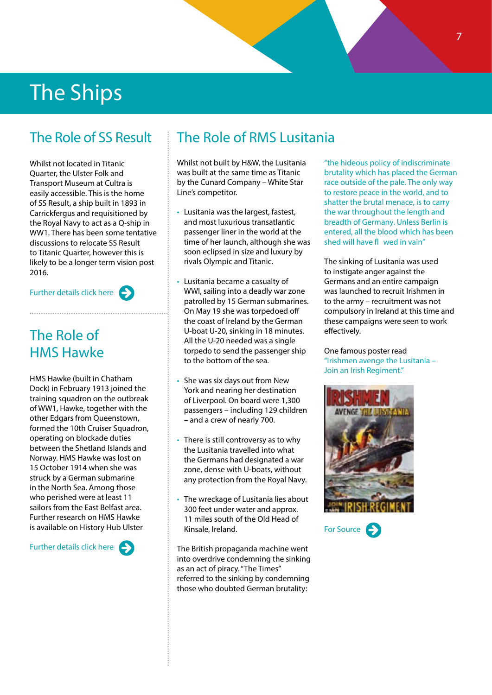### The Role of SS Result

Whilst not located in Titanic Quarter, the Ulster Folk and Transport Museum at Cultra is easily accessible. This is the home of SS Result, a ship built in 1893 in Carrickfergus and requisitioned by the Royal Navy to act as a Q-ship in WW1. There has been some tentative discussions to relocate SS Result to Titanic Quarter, however this is likely to be a longer term vision post 2016.



### The Role of HMS Hawke

HMS Hawke (built in Chatham Dock) in February 1913 joined the training squadron on the outbreak of WW1, Hawke, together with the other Edgars from Queenstown, formed the 10th Cruiser Squadron, operating on blockade duties between the Shetland Islands and Norway. HMS Hawke was lost on 15 October 1914 when she was struck by a German submarine in the North Sea. Among those who perished were at least 11 sailors from the East Belfast area. Further research on HMS Hawke is available on History Hub Ulster

Further details click here

### The Role of RMS Lusitania

Whilst not built by H&W, the Lusitania was built at the same time as Titanic by the Cunard Company – White Star Line's competitor.

- Lusitania was the largest, fastest, and most luxurious transatlantic passenger liner in the world at the time of her launch, although she was soon eclipsed in size and luxury by rivals Olympic and Titanic.
- Lusitania became a casualty of WWI, sailing into a deadly war zone patrolled by 15 German submarines. On May 19 she was torpedoed off the coast of Ireland by the German U-boat U-20, sinking in 18 minutes. All the U-20 needed was a single torpedo to send the passenger ship to the bottom of the sea.
- She was six days out from New York and nearing her destination of Liverpool. On board were 1,300 passengers – including 129 children – and a crew of nearly 700.
- There is still controversy as to why the Lusitania travelled into what the Germans had designated a war zone, dense with U-boats, without any protection from the Royal Navy.
- The wreckage of Lusitania lies about 300 feet under water and approx. 11 miles south of the Old Head of Kinsale, Ireland.

The British propaganda machine went into overdrive condemning the sinking as an act of piracy. "The Times" referred to the sinking by condemning those who doubted German brutality:

"the hideous policy of indiscriminate brutality which has placed the German race outside of the pale. The only way to restore peace in the world, and to shatter the brutal menace, is to carry the war throughout the length and breadth of Germany. Unless Berlin is entered, all the blood which has been shed will have fl wed in vain"

The sinking of Lusitania was used to instigate anger against the Germans and an entire campaign was launched to recruit Irishmen in to the army – recruitment was not compulsory in Ireland at this time and these campaigns were seen to work effectively.

One famous poster read "Irishmen avenge the Lusitania – Join an Irish Regiment."



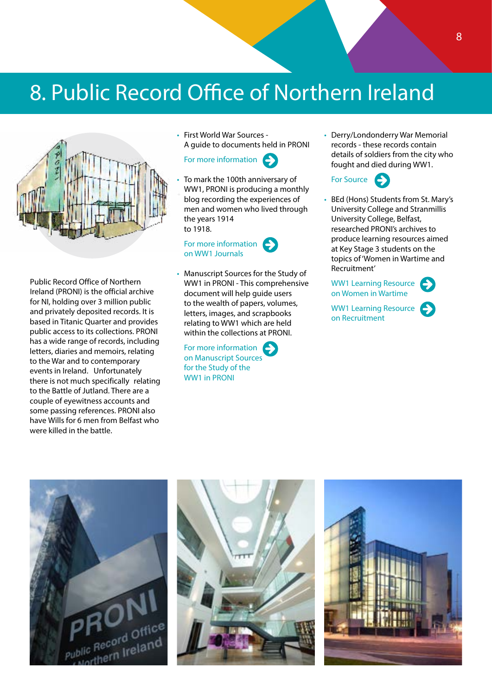## 8. Public Record Office of Northern Ireland



Public Record Office of Northern Ireland (PRONI) is the official archive for NI, holding over 3 million public and privately deposited records. It is based in Titanic Quarter and provides public access to its collections. PRONI has a wide range of records, including letters, diaries and memoirs, relating to the War and to contemporary events in Ireland. Unfortunately there is not much specifically relating to the Battle of Jutland. There are a couple of eyewitness accounts and some passing references. PRONI also have Wills for 6 men from Belfast who were killed in the battle.

• First World War Sources - A guide to documents held in PRONI

#### [For more information](http://www.proni.gov.uk/first_world_war_sources__a_guide_to_documents_held_in_proni..pdf)

• To mark the 100th anniversary of WW1, PRONI is producing a monthly blog recording the experiences of men and women who lived through the years 1914 to 1918.



• Manuscript Sources for the Study of WW1 in PRONI - This comprehensive document will help guide users to the wealth of papers, volumes, letters, images, and scrapbooks relating to WW1 which are held within the collections at PRONI.

[For more information](http://www.proni.gov.uk/fww_guide_version_3_july_2014.pdf) [on Manuscript Sources](http://www.proni.gov.uk/fww_guide_version_3_july_2014.pdf) [for the Study of the](http://www.proni.gov.uk/fww_guide_version_3_july_2014.pdf) [WW1 in PRONI](http://www.proni.gov.uk/fww_guide_version_3_july_2014.pdf)

• Derry/Londonderry War Memorial records - these records contain details of soldiers from the city who fought and died during WW1.



• BEd (Hons) Students from St. Mary's University College and Stranmillis University College, Belfast, researched PRONI's archives to produce learning resources aimed at Key Stage 3 students on the topics of 'Women in Wartime and Recruitment'



[WW1 Learning Resource](http://www.proni.gov.uk/first_world_war_-_recruitment_-_learning_resource.pdf) [on Recruitment](http://www.proni.gov.uk/first_world_war_-_recruitment_-_learning_resource.pdf)





![](_page_9_Picture_16.jpeg)

![](_page_9_Picture_17.jpeg)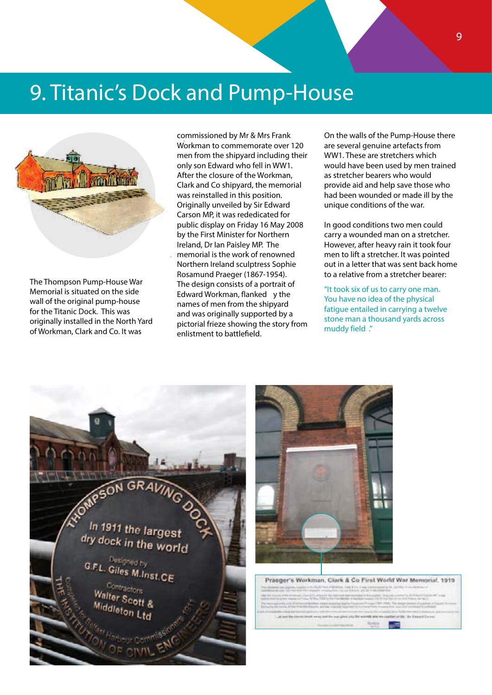## 9. Titanic's Dock and Pump-House

![](_page_10_Picture_1.jpeg)

The Thompson Pump-House War Memorial is situated on the side wall of the original pump-house for the Titanic Dock. This was originally installed in the North Yard of Workman, Clark and Co. It was

commissioned by Mr & Mrs Frank Workman to commemorate over 120 men from the shipyard including their only son Edward who fell in WW1. After the closure of the Workman, Clark and Co shipyard, the memorial was reinstalled in this position. Originally unveiled by Sir Edward Carson MP, it was rededicated for public display on Friday 16 May 2008 by the First Minister for Northern Ireland, Dr Ian Paisley MP. The memorial is the work of renowned Northern Ireland sculptress Sophie Rosamund Praeger (1867-1954). The design consists of a portrait of Edward Workman, flanked y the names of men from the shipyard and was originally supported by a pictorial frieze showing the story from enlistment to battlefield.

On the walls of the Pump-House there are several genuine artefacts from WW1. These are stretchers which would have been used by men trained as stretcher bearers who would provide aid and help save those who had been wounded or made ill by the unique conditions of the war.

In good conditions two men could carry a wounded man on a stretcher. However, after heavy rain it took four men to lift a stretcher. It was pointed out in a letter that was sent back home to a relative from a stretcher bearer:

"It took six of us to carry one man. You have no idea of the physical fatigue entailed in carrying a twelve stone man a thousand yards across muddy field ."

![](_page_10_Picture_7.jpeg)

![](_page_10_Picture_8.jpeg)

Praeoer's Workman, Clark & Co First World War Memorial, 1919.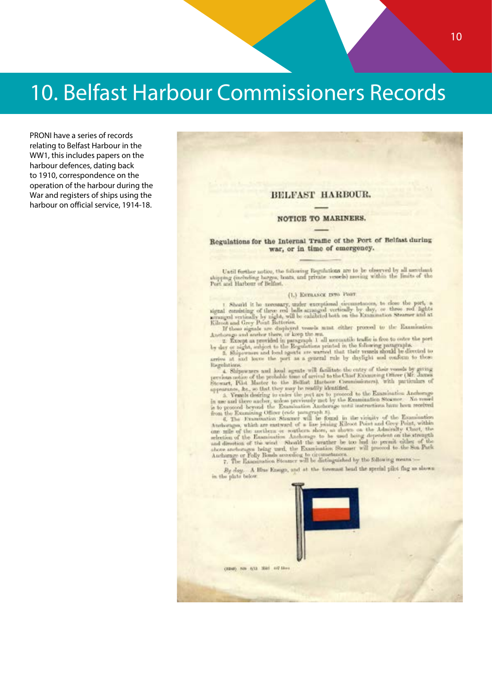## 10. Belfast Harbour Commissioners Records

PRONI have a series of records relating to Belfast Harbour in the WW1, this includes papers on the harbour defences, dating back to 1910, correspondence on the operation of the harbour during the War and registers of ships using the harbour on official service, 1914-18.

#### BELFAST HARBOUR.

#### NOTICE TO MARINERS.

#### Regulations for the Internal Traffic of the Port of Belfast during war, or in time of emergency.

Until further notice, the following Esguintisms are to be observed by all merchant shipping (including barges, boats, and private vessels) meeing within the limits of the Port and Harbour of Belfast.

#### (1.) ENVILORIE 1970 Pour

(b) Excursions from their conditions, to close the part, a signal consisting of three angular exceptional consisting by day, or three red lights are<br>aged vertically by uight, will be calculated both on the Kanamaton Steam

Regulations:

arrive at such leaves the part as a general rule by injugar and women to start<br>and a Shipurares and local egents will facilitate the entry of their vessels by group<br>percises orbit at Master to the Belliak Hastour Commissi

 $By\ day. A\ Hine\ from\ part\ at\ the\ format\ head\ the\ special\ plot\ flag\ as\ shown\ in\ the\ plot\ below\ in\$ 

(3240) NB 6/13 3580 447-18 av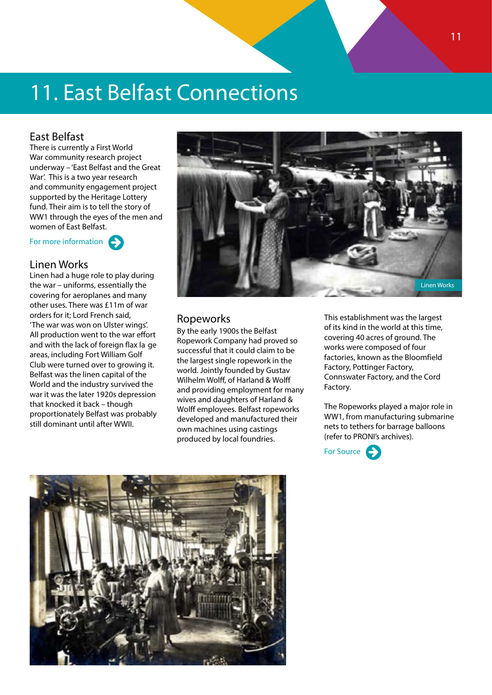## 11. East Belfast Connections

#### East Belfast

There is currently a First World War community research project underway – 'East Belfast and the Great War'. This is a two year research and community engagement project supported by the Heritage Lottery fund. Their aim is to tell the story of WW1 through the eyes of the men and women of East Belfast.

For more information

#### Linen Works

Linen had a huge role to play during the war – uniforms, essentially the covering for aeroplanes and many other uses. There was £11m of war orders for it; Lord French said, 'The war was won on Ulster wings'. All production went to the war effort and with the lack of foreign flax la ge areas, including Fort William Golf Club were turned over to growing it. Belfast was the linen capital of the World and the industry survived the war it was the later 1920s depression that knocked it back – though proportionately Belfast was probably still dominant until after WWII.

![](_page_12_Picture_6.jpeg)

#### Ropeworks

By the early 1900s the Belfast Ropework Company had proved so successful that it could claim to be the largest single ropework in the world. Jointly founded by Gustav Wilhelm Wolff, of Harland & Wolff and providing employment for many wives and daughters of Harland & Wolff employees. Belfast ropeworks developed and manufactured their own machines using castings produced by local foundries.

This establishment was the largest of its kind in the world at this time, covering 40 acres of ground. The works were composed of four factories, known as the Bloomfield Factory, Pottinger Factory, Connswater Factory, and the Cord Factory.

The Ropeworks played a major role in WW1, from manufacturing submarine nets to tethers for barrage balloons (refer to PRONI's archives).

![](_page_12_Picture_11.jpeg)

![](_page_12_Picture_12.jpeg)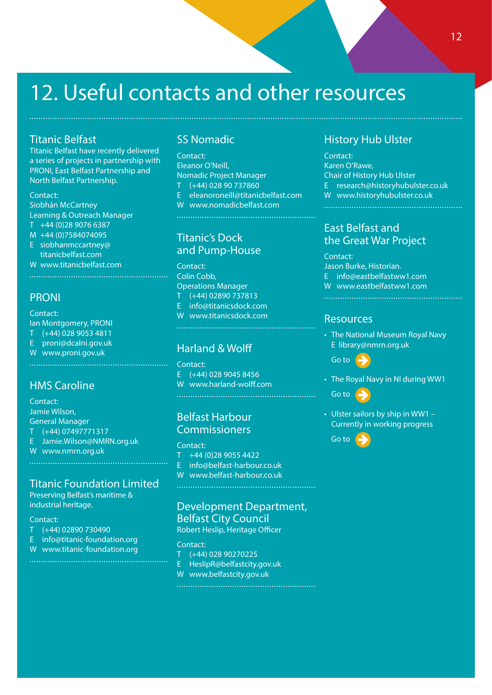## 12. Useful contacts and other resources

#### Titanic Belfast

Titanic Belfast have recently delivered a series of projects in partnership with PRONI, East Belfast Partnership and North Belfast Partnership.

#### Contact:

Siobhán McCartney Learning & Outreach Manager T +44 (0)28 9076 6387

- M +44 (0)7584074095 E siobhanmccartney@
- titanicbelfast.com
- W <www.titanicbelfast.com>

#### PRONI

### Contact:

Ian Montgomery, PRONI

- T (+44) 028 9053 4811
- E proni@dcalni.gov.uk
- W [www.proni.gov.uk](http://www.proni.gov.uk)

#### HMS Caroline

Contact: Jamie Wilson, General Manager T (+44) 07497771317 E Jamie.Wilson@NMRN.org.uk W <www.nmrn.org.uk>

#### Titanic Foundation Limited

Preserving Belfast's maritime & industrial heritage.

#### Contact:

- T (+44) 02890 730490
- E info@titanic-foundation.org
- W [www.titanic-foundation.org](http://www.titanic-foundation.org)

#### SS Nomadic

Contact: Eleanor O'Neill, Nomadic Project Manager T (+44) 028 90 737860 E eleanoroneill@titanicbelfast.com W [www.nomadicbelfast.com](http://www.nomadicbelfast.com) 

#### Titanic's Dock and Pump-House

Contact: Colin Cobb, Operations Manager T (+44) 02890 737813 E info@titanicsdock.com W [www.titanicsdock.com](http://www.titanicsdock.com) 

### Harland & Wolff

#### Contact:

E  $(+44)$  028 9045 8456 W www.harland-wolff.com

#### Belfast Harbour Commissioners

Contact:

- T +44 (0)28 9055 4422
- E info@belfast-harbour.co.uk
- W www.belfast-harbour.co.uk

#### Development Department, Belfast City Council

Robert Heslip, Heritage Officer

#### Contact:

- T (+44) 028 90270225
- E HeslipR@belfastcity.gov.uk
- W [www.](www.belfastcity.gov.uk)belfastcity.gov.uk

#### History Hub Ulster

Contact: Karen O'Rawe, Chair of History Hub Ulster E research@historyhubulster.co.uk W www[.historyhubulster.co.uk](www.historyhubulster.co.uk)

#### East Belfast and the Great War Project

Contact: Jason Burke, Historian. E info@eastbelfastww1.com W <www.eastbelfastww1.com> 

#### Resources

• The National Museum Royal Navy E library@nmrn.org.uk

[Go to](http://www.nmrn.org.uk)

• The Royal Navy in NI during WW1

[Go to](http://historyhubulster.co.uk/royal-navy-world-war-i/)

• Ulster sailors by ship in WW1 – Currently in working progress

[Go to](http://historyhubulster.co.uk/ulster-ww1-sailors/)